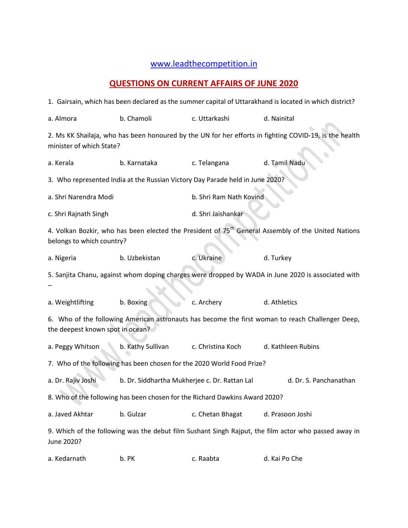## [www.leadthecompetition.in](http://www.leadthecompetition.in/)

## **QUESTIONS ON CURRENT AFFAIRS OF JUNE 2020**

1. Gairsain, which has been declared as the summer capital of Uttarakhand is located in which district?

| a. Almora                                                                                                                                    | b. Chamoli                                                                    | c. Uttarkashi           | d. Nainital            |  |  |  |  |  |  |  |
|----------------------------------------------------------------------------------------------------------------------------------------------|-------------------------------------------------------------------------------|-------------------------|------------------------|--|--|--|--|--|--|--|
| 2. Ms KK Shailaja, who has been honoured by the UN for her efforts in fighting COVID-19, is the health<br>minister of which State?           |                                                                               |                         |                        |  |  |  |  |  |  |  |
| a. Kerala                                                                                                                                    | b. Karnataka                                                                  | c. Telangana            | d. Tamil Nadu          |  |  |  |  |  |  |  |
|                                                                                                                                              | 3. Who represented India at the Russian Victory Day Parade held in June 2020? |                         |                        |  |  |  |  |  |  |  |
| a. Shri Narendra Modi                                                                                                                        |                                                                               | b. Shri Ram Nath Kovind |                        |  |  |  |  |  |  |  |
| c. Shri Rajnath Singh                                                                                                                        |                                                                               | d. Shri Jaishankar      |                        |  |  |  |  |  |  |  |
| 4. Volkan Bozkir, who has been elected the President of 75 <sup>th</sup> General Assembly of the United Nations<br>belongs to which country? |                                                                               |                         |                        |  |  |  |  |  |  |  |
| a. Nigeria                                                                                                                                   | b. Uzbekistan                                                                 | c. Ukraine              | d. Turkey              |  |  |  |  |  |  |  |
| 5. Sanjita Chanu, against whom doping charges were dropped by WADA in June 2020 is associated with                                           |                                                                               |                         |                        |  |  |  |  |  |  |  |
| a. Weightlifting                                                                                                                             | b. Boxing                                                                     | c. Archery              | d. Athletics           |  |  |  |  |  |  |  |
| 6. Who of the following American astronauts has become the first woman to reach Challenger Deep,<br>the deepest known spot in ocean?         |                                                                               |                         |                        |  |  |  |  |  |  |  |
| a. Peggy Whitson                                                                                                                             | b. Kathy Sullivan                                                             | c. Christina Koch       | d. Kathleen Rubins     |  |  |  |  |  |  |  |
| 7. Who of the following has been chosen for the 2020 World Food Prize?                                                                       |                                                                               |                         |                        |  |  |  |  |  |  |  |
| a. Dr. Rajiv Joshi                                                                                                                           | b. Dr. Siddhartha Mukherjee c. Dr. Rattan Lal                                 |                         | d. Dr. S. Panchanathan |  |  |  |  |  |  |  |
| 8. Who of the following has been chosen for the Richard Dawkins Award 2020?                                                                  |                                                                               |                         |                        |  |  |  |  |  |  |  |
| a. Javed Akhtar                                                                                                                              | b. Gulzar                                                                     | c. Chetan Bhagat        | d. Prasoon Joshi       |  |  |  |  |  |  |  |
| 9. Which of the following was the debut film Sushant Singh Rajput, the film actor who passed away in<br>June 2020?                           |                                                                               |                         |                        |  |  |  |  |  |  |  |
| a. Kedarnath                                                                                                                                 | b. PK                                                                         | c. Raabta               | d. Kai Po Che          |  |  |  |  |  |  |  |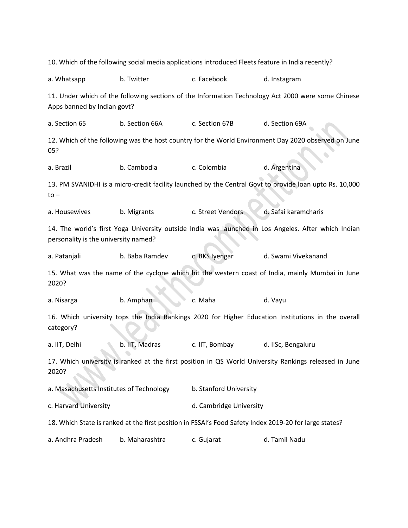10. Which of the following social media applications introduced Fleets feature in India recently? a. Whatsapp b. Twitter c. Facebook d. Instagram 11. Under which of the following sections of the Information Technology Act 2000 were some Chinese Apps banned by Indian govt? a. Section 65 b. Section 66A c. Section 67B d. Section 69A 12. Which of the following was the host country for the World Environment Day 2020 observed on June 05? a. Brazil b. Cambodia c. Colombia d. Argentina 13. PM SVANIDHI is a micro-credit facility launched by the Central Govt to provide loan upto Rs. 10,000 to – a. Housewives b. Migrants c. Street Vendors d. Safai karamcharis 14. The world's first Yoga University outside India was launched in Los Angeles. After which Indian personality is the university named? a. Patanjali b. Baba Ramdev c. BKS Iyengar d. Swami Vivekanand 15. What was the name of the cyclone which hit the western coast of India, mainly Mumbai in June 2020? a. Nisarga b. Amphan c. Maha d. Vayu 16. Which university tops the India Rankings 2020 for Higher Education Institutions in the overall category? a. IIT, Delhi b. IIT, Madras c. IIT, Bombay d. IISc, Bengaluru 17. Which university is ranked at the first position in QS World University Rankings released in June 2020? a. Masachusetts Institutes of Technology b. Stanford University c. Harvard University **Exercise 2018** d. Cambridge University 18. Which State is ranked at the first position in FSSAI's Food Safety Index 2019-20 for large states? a. Andhra Pradesh b. Maharashtra c. Gujarat d. Tamil Nadu